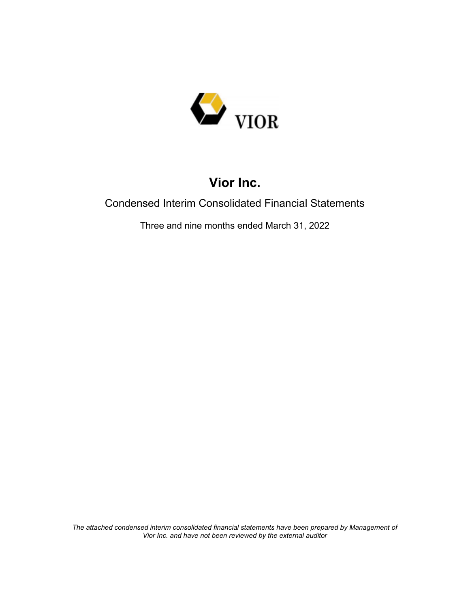

### Condensed Interim Consolidated Financial Statements

Three and nine months ended March 31, 2022

*The attached condensed interim consolidated financial statements have been prepared by Management of Vior Inc. and have not been reviewed by the external auditor*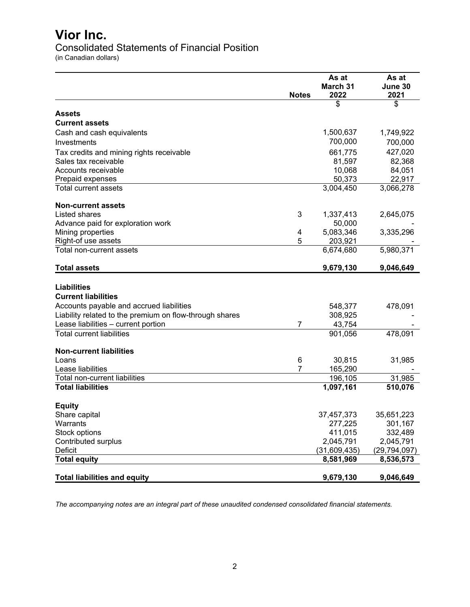Consolidated Statements of Financial Position

(in Canadian dollars)

|                                                         | <b>Notes</b>   | As at<br>March 31<br>2022 | As at<br>June 30<br>2021 |
|---------------------------------------------------------|----------------|---------------------------|--------------------------|
|                                                         |                | \$                        | \$                       |
| <b>Assets</b>                                           |                |                           |                          |
| <b>Current assets</b>                                   |                |                           |                          |
| Cash and cash equivalents                               |                | 1,500,637                 | 1,749,922                |
| Investments                                             |                | 700,000                   | 700,000                  |
| Tax credits and mining rights receivable                |                | 661,775                   | 427,020                  |
| Sales tax receivable                                    |                | 81,597                    | 82,368                   |
| Accounts receivable                                     |                | 10,068                    | 84,051                   |
| Prepaid expenses                                        |                | 50,373                    | 22,917                   |
| <b>Total current assets</b>                             |                | 3,004,450                 | 3,066,278                |
| <b>Non-current assets</b>                               |                |                           |                          |
| Listed shares                                           | 3              | 1,337,413                 | 2,645,075                |
| Advance paid for exploration work                       |                | 50,000                    |                          |
| Mining properties                                       | 4              | 5,083,346                 | 3,335,296                |
| Right-of use assets                                     | 5              | 203,921                   |                          |
| Total non-current assets                                |                | 6,674,680                 | 5,980,371                |
| <b>Total assets</b>                                     |                | 9,679,130                 | 9,046,649                |
| <b>Liabilities</b>                                      |                |                           |                          |
| <b>Current liabilities</b>                              |                |                           |                          |
| Accounts payable and accrued liabilities                |                | 548,377                   | 478,091                  |
| Liability related to the premium on flow-through shares |                | 308,925                   |                          |
| Lease liabilities - current portion                     | $\overline{7}$ | 43,754                    |                          |
| <b>Total current liabilities</b>                        |                | 901,056                   | 478,091                  |
| <b>Non-current liabilities</b>                          |                |                           |                          |
| Loans                                                   | 6              | 30,815                    | 31,985                   |
| Lease liabilities                                       | $\overline{7}$ | 165,290                   |                          |
| Total non-current liabilities                           |                | 196,105                   | 31,985                   |
| <b>Total liabilities</b>                                |                | 1,097,161                 | 510,076                  |
| <b>Equity</b>                                           |                |                           |                          |
| Share capital                                           |                | 37,457,373                | 35,651,223               |
| Warrants                                                |                | 277,225                   | 301,167                  |
| Stock options                                           |                | 411,015                   | 332,489                  |
| Contributed surplus                                     |                | 2,045,791                 | 2,045,791                |
| Deficit                                                 |                | (31,609,435)              | (29,794,097)             |
| <b>Total equity</b>                                     |                | 8,581,969                 | 8,536,573                |
| <b>Total liabilities and equity</b>                     |                | 9,679,130                 | 9,046,649                |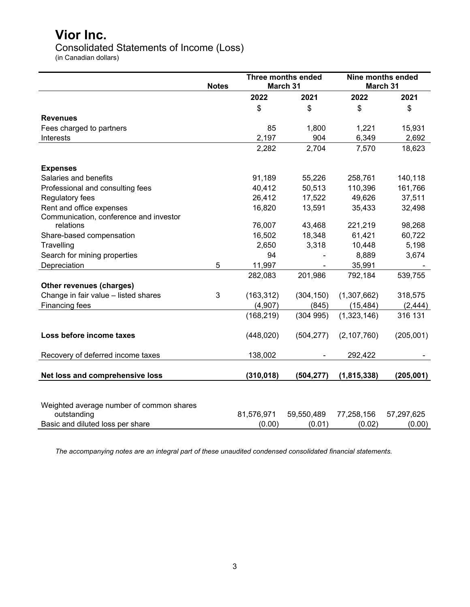Consolidated Statements of Income (Loss)

(in Canadian dollars)

|                                          | <b>Notes</b> |            | <b>Three months ended</b><br>March 31 |               | <b>Nine months ended</b><br>March 31 |
|------------------------------------------|--------------|------------|---------------------------------------|---------------|--------------------------------------|
|                                          |              | 2022       | 2021                                  | 2022          | 2021                                 |
|                                          |              | \$         | \$                                    | \$            | \$                                   |
| <b>Revenues</b>                          |              |            |                                       |               |                                      |
| Fees charged to partners                 |              | 85         | 1,800                                 | 1,221         | 15,931                               |
| Interests                                |              | 2,197      | 904                                   | 6,349         | 2,692                                |
|                                          |              | 2,282      | 2,704                                 | 7,570         | 18,623                               |
| <b>Expenses</b>                          |              |            |                                       |               |                                      |
| Salaries and benefits                    |              | 91,189     | 55,226                                | 258,761       | 140,118                              |
| Professional and consulting fees         |              | 40,412     | 50,513                                | 110,396       | 161,766                              |
| Regulatory fees                          |              | 26,412     | 17,522                                | 49,626        | 37,511                               |
| Rent and office expenses                 |              | 16,820     | 13,591                                | 35,433        | 32,498                               |
| Communication, conference and investor   |              |            |                                       |               |                                      |
| relations                                |              | 76,007     | 43,468                                | 221,219       | 98,268                               |
| Share-based compensation                 |              | 16,502     | 18,348                                | 61,421        | 60,722                               |
| Travelling                               |              | 2,650      | 3,318                                 | 10,448        | 5,198                                |
| Search for mining properties             |              | 94         |                                       | 8,889         | 3,674                                |
| Depreciation                             | 5            | 11,997     |                                       | 35,991        |                                      |
|                                          |              | 282,083    | 201,986                               | 792,184       | 539,755                              |
| Other revenues (charges)                 |              |            |                                       |               |                                      |
| Change in fair value - listed shares     | 3            | (163, 312) | (304, 150)                            | (1,307,662)   | 318,575                              |
| Financing fees                           |              | (4,907)    | (845)                                 | (15, 484)     | (2, 444)                             |
|                                          |              | (168, 219) | (304995)                              | (1,323,146)   | 316 131                              |
| Loss before income taxes                 |              | (448, 020) | (504, 277)                            | (2, 107, 760) | (205,001)                            |
| Recovery of deferred income taxes        |              | 138,002    |                                       | 292,422       |                                      |
| Net loss and comprehensive loss          |              | (310, 018) | (504, 277)                            | (1,815,338)   | (205, 001)                           |
|                                          |              |            |                                       |               |                                      |
| Weighted average number of common shares |              |            |                                       |               |                                      |
| outstanding                              |              | 81,576,971 | 59,550,489                            | 77,258,156    | 57,297,625                           |
| Basic and diluted loss per share         |              | (0.00)     | (0.01)                                | (0.02)        | (0.00)                               |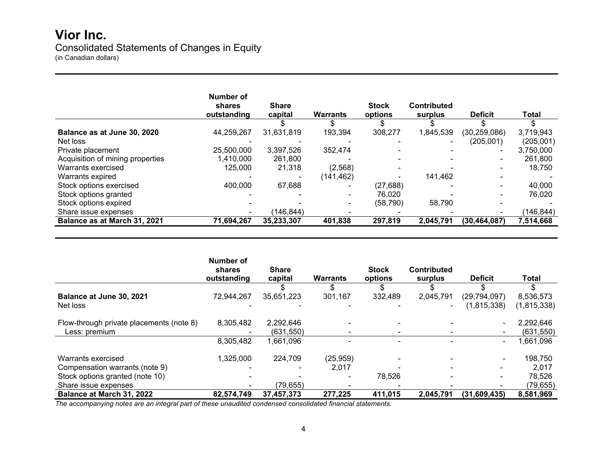## **Vior Inc.** Consolidated Statements of Changes in Equity

(in Canadian dollars)

|                                  | Number of<br>shares<br>outstanding | <b>Share</b><br>capital | <b>Warrants</b> | <b>Stock</b><br>options | <b>Contributed</b><br>surplus | <b>Deficit</b> | Total      |
|----------------------------------|------------------------------------|-------------------------|-----------------|-------------------------|-------------------------------|----------------|------------|
|                                  |                                    |                         |                 |                         |                               |                |            |
| Balance as at June 30, 2020      | 44,259,267                         | 31,631,819              | 193,394         | 308,277                 | 1,845,539                     | (30, 259, 086) | 3,719,943  |
| Net loss                         |                                    |                         |                 |                         |                               | (205, 001)     | (205, 001) |
| Private placement                | 25,500,000                         | 3,397,526               | 352,474         |                         |                               | $\blacksquare$ | 3,750,000  |
| Acquisition of mining properties | 410,000.                           | 261,800                 |                 |                         |                               | $\blacksquare$ | 261,800    |
| Warrants exercised               | 125,000                            | 21,318                  | (2,568)         |                         |                               |                | 18.750     |
| Warrants expired                 |                                    |                         | (141, 462)      |                         | 141,462                       |                |            |
| Stock options exercised          | 400,000                            | 67,688                  |                 | (27, 688)               |                               | $\blacksquare$ | 40,000     |
| Stock options granted            |                                    |                         |                 | 76,020                  |                               | $\blacksquare$ | 76,020     |
| Stock options expired            |                                    |                         |                 | (58, 790)               | 58,790                        |                |            |
| Share issue expenses             |                                    | (146,844)               |                 |                         |                               |                | (146, 844) |
| Balance as at March 31, 2021     | 71,694,267                         | 35,233,307              | 401,838         | 297,819                 | 2,045,791                     | (30, 464, 087) | 7,514,668  |

|                                          | Number of<br>shares<br>outstanding | <b>Share</b><br>capital | <b>Warrants</b> | <b>Stock</b><br>options | <b>Contributed</b><br>surplus | <b>Deficit</b> | Total         |
|------------------------------------------|------------------------------------|-------------------------|-----------------|-------------------------|-------------------------------|----------------|---------------|
|                                          |                                    |                         |                 | S                       |                               |                |               |
| Balance at June 30, 2021                 | 72,944,267                         | 35,651,223              | 301,167         | 332,489                 | 2,045,791                     | (29, 794, 097) | 8,536,573     |
| Net loss                                 |                                    |                         |                 |                         |                               | (1, 815, 338)  | (1, 815, 338) |
| Flow-through private placements (note 8) | 8,305,482                          | 2,292,646               |                 |                         |                               |                | 2,292,646     |
| Less: premium                            |                                    | (631, 550)              |                 |                         |                               |                | (631, 550)    |
|                                          | 8,305,482                          | 1,661,096               |                 |                         |                               | $\sim$         | ,661,096      |
| Warrants exercised                       | 1,325,000                          | 224,709                 | (25, 959)       |                         |                               |                | 198,750       |
| Compensation warrants (note 9)           |                                    |                         | 2,017           |                         | $\sim$                        | $\sim$         | 2,017         |
| Stock options granted (note 10)          |                                    |                         |                 | 78,526                  |                               | $\blacksquare$ | 78.526        |
| Share issue expenses                     |                                    | (79, 655)               |                 |                         |                               |                | (79, 655)     |
| Balance at March 31, 2022                | 82,574,749                         | 37,457,373              | 277,225         | 411,015                 | 2,045,791                     | (31,609,435)   | 8,581,969     |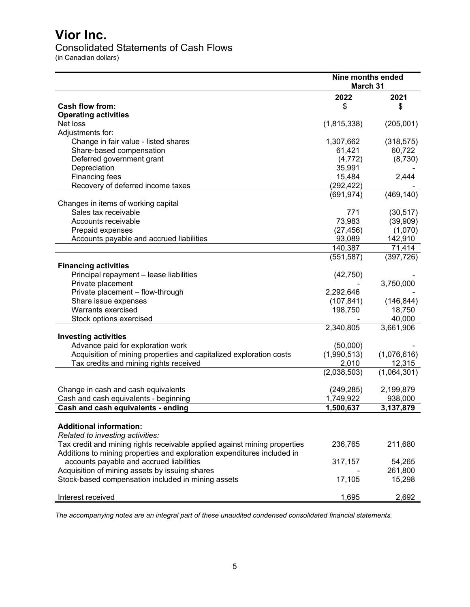### Consolidated Statements of Cash Flows

(in Canadian dollars)

|                                                                                                                                                      | Nine months ended<br>March 31 |             |
|------------------------------------------------------------------------------------------------------------------------------------------------------|-------------------------------|-------------|
|                                                                                                                                                      | 2022                          | 2021        |
| <b>Cash flow from:</b>                                                                                                                               | \$                            | \$          |
| <b>Operating activities</b>                                                                                                                          |                               |             |
| Net loss                                                                                                                                             | (1,815,338)                   | (205,001)   |
| Adjustments for:                                                                                                                                     |                               |             |
| Change in fair value - listed shares                                                                                                                 | 1,307,662                     | (318, 575)  |
| Share-based compensation                                                                                                                             | 61,421                        | 60,722      |
| Deferred government grant                                                                                                                            | (4, 772)                      | (8,730)     |
| Depreciation                                                                                                                                         | 35,991                        |             |
| Financing fees                                                                                                                                       | 15,484                        | 2,444       |
| Recovery of deferred income taxes                                                                                                                    | (292, 422)                    |             |
|                                                                                                                                                      | (691, 974)                    | (469, 140)  |
| Changes in items of working capital                                                                                                                  |                               |             |
| Sales tax receivable                                                                                                                                 | 771                           | (30, 517)   |
| Accounts receivable                                                                                                                                  | 73,983                        | (39,909)    |
| Prepaid expenses                                                                                                                                     | (27, 456)                     | (1,070)     |
| Accounts payable and accrued liabilities                                                                                                             | 93,089                        | 142,910     |
|                                                                                                                                                      | 140,387                       | 71,414      |
|                                                                                                                                                      | (551, 587)                    | (397, 726)  |
| <b>Financing activities</b>                                                                                                                          |                               |             |
| Principal repayment - lease liabilities                                                                                                              | (42, 750)                     |             |
| Private placement                                                                                                                                    |                               | 3,750,000   |
| Private placement - flow-through                                                                                                                     | 2,292,646                     |             |
| Share issue expenses                                                                                                                                 | (107, 841)                    | (146, 844)  |
| Warrants exercised                                                                                                                                   | 198,750                       | 18,750      |
| Stock options exercised                                                                                                                              |                               | 40,000      |
|                                                                                                                                                      | 2,340,805                     | 3,661,906   |
| <b>Investing activities</b>                                                                                                                          |                               |             |
| Advance paid for exploration work                                                                                                                    | (50,000)                      |             |
| Acquisition of mining properties and capitalized exploration costs                                                                                   | (1,990,513)                   | (1,076,616) |
| Tax credits and mining rights received                                                                                                               | 2,010                         | 12,315      |
|                                                                                                                                                      | (2,038,503)                   | (1,064,301) |
| Change in cash and cash equivalents                                                                                                                  | (249, 285)                    | 2,199,879   |
| Cash and cash equivalents - beginning                                                                                                                | 1,749,922                     | 938,000     |
| Cash and cash equivalents - ending                                                                                                                   | 1,500,637                     | 3,137,879   |
| <b>Additional information:</b><br>Related to investing activities:                                                                                   |                               |             |
| Tax credit and mining rights receivable applied against mining properties<br>Additions to mining properties and exploration expenditures included in | 236,765                       | 211,680     |
| accounts payable and accrued liabilities                                                                                                             | 317,157                       | 54,265      |
| Acquisition of mining assets by issuing shares                                                                                                       |                               | 261,800     |
| Stock-based compensation included in mining assets                                                                                                   | 17,105                        | 15,298      |
|                                                                                                                                                      |                               |             |
| Interest received                                                                                                                                    | 1,695                         | 2,692       |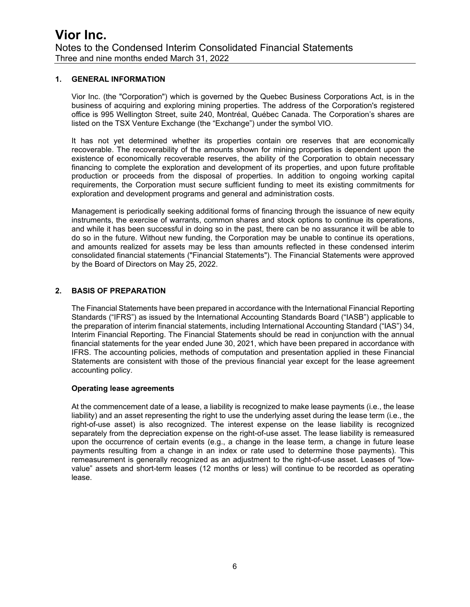#### **1. GENERAL INFORMATION**

Vior Inc. (the "Corporation") which is governed by the Quebec Business Corporations Act, is in the business of acquiring and exploring mining properties. The address of the Corporation's registered office is 995 Wellington Street, suite 240, Montréal, Québec Canada. The Corporation's shares are listed on the TSX Venture Exchange (the "Exchange") under the symbol VIO.

It has not yet determined whether its properties contain ore reserves that are economically recoverable. The recoverability of the amounts shown for mining properties is dependent upon the existence of economically recoverable reserves, the ability of the Corporation to obtain necessary financing to complete the exploration and development of its properties, and upon future profitable production or proceeds from the disposal of properties. In addition to ongoing working capital requirements, the Corporation must secure sufficient funding to meet its existing commitments for exploration and development programs and general and administration costs.

Management is periodically seeking additional forms of financing through the issuance of new equity instruments, the exercise of warrants, common shares and stock options to continue its operations, and while it has been successful in doing so in the past, there can be no assurance it will be able to do so in the future. Without new funding, the Corporation may be unable to continue its operations, and amounts realized for assets may be less than amounts reflected in these condensed interim consolidated financial statements ("Financial Statements"). The Financial Statements were approved by the Board of Directors on May 25, 2022.

#### **2. BASIS OF PREPARATION**

The Financial Statements have been prepared in accordance with the International Financial Reporting Standards ("IFRS") as issued by the International Accounting Standards Board ("IASB") applicable to the preparation of interim financial statements, including International Accounting Standard ("IAS") 34, Interim Financial Reporting. The Financial Statements should be read in conjunction with the annual financial statements for the year ended June 30, 2021, which have been prepared in accordance with IFRS. The accounting policies, methods of computation and presentation applied in these Financial Statements are consistent with those of the previous financial year except for the lease agreement accounting policy.

#### **Operating lease agreements**

At the commencement date of a lease, a liability is recognized to make lease payments (i.e., the lease liability) and an asset representing the right to use the underlying asset during the lease term (i.e., the right-of-use asset) is also recognized. The interest expense on the lease liability is recognized separately from the depreciation expense on the right-of-use asset. The lease liability is remeasured upon the occurrence of certain events (e.g., a change in the lease term, a change in future lease payments resulting from a change in an index or rate used to determine those payments). This remeasurement is generally recognized as an adjustment to the right-of-use asset. Leases of "lowvalue" assets and short-term leases (12 months or less) will continue to be recorded as operating lease.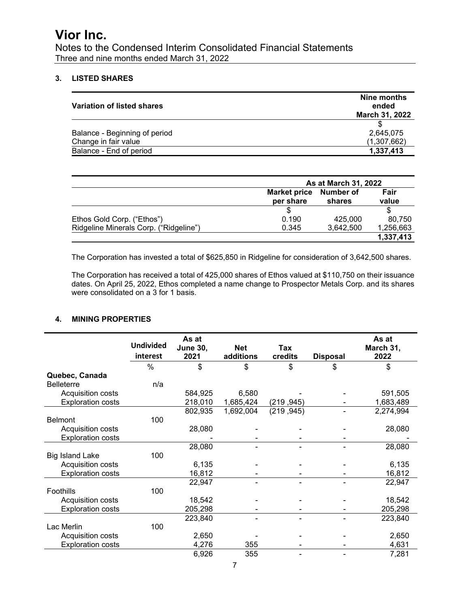Notes to the Condensed Interim Consolidated Financial Statements Three and nine months ended March 31, 2022

### **3. LISTED SHARES**

| Variation of listed shares                            | Nine months<br>ended<br>March 31, 2022 |
|-------------------------------------------------------|----------------------------------------|
| Balance - Beginning of period<br>Change in fair value | 2,645,075<br>(1,307,662)               |
| Balance - End of period                               | 1,337,413                              |

|                                        | As at March 31, 2022             |                            |               |  |
|----------------------------------------|----------------------------------|----------------------------|---------------|--|
|                                        | <b>Market price</b><br>per share | <b>Number of</b><br>shares | Fair<br>value |  |
|                                        |                                  |                            |               |  |
| Ethos Gold Corp. ("Ethos")             | 0.190                            | 425,000                    | 80.750        |  |
| Ridgeline Minerals Corp. ("Ridgeline") | 0.345                            | 3,642,500                  | 1,256,663     |  |
|                                        |                                  |                            | 1,337,413     |  |

The Corporation has invested a total of \$625,850 in Ridgeline for consideration of 3,642,500 shares.

The Corporation has received a total of 425,000 shares of Ethos valued at \$110,750 on their issuance dates. On April 25, 2022, Ethos completed a name change to Prospector Metals Corp. and its shares were consolidated on a 3 for 1 basis.

#### **4. MINING PROPERTIES**

|                          | <b>Undivided</b><br>interest | As at<br><b>June 30,</b><br>2021 | <b>Net</b><br>additions | Tax<br>credits | <b>Disposal</b> | As at<br>March 31,<br>2022 |
|--------------------------|------------------------------|----------------------------------|-------------------------|----------------|-----------------|----------------------------|
|                          | %                            | \$                               | \$                      | \$             | \$              | \$                         |
| Quebec, Canada           |                              |                                  |                         |                |                 |                            |
| <b>Belleterre</b>        | n/a                          |                                  |                         |                |                 |                            |
| Acquisition costs        |                              | 584,925                          | 6,580                   |                |                 | 591,505                    |
| <b>Exploration costs</b> |                              | 218,010                          | 1,685,424               | (219, 245)     |                 | 1,683,489                  |
|                          |                              | 802,935                          | 1,692,004               | (219, 945)     |                 | 2,274,994                  |
| <b>Belmont</b>           | 100                          |                                  |                         |                |                 |                            |
| Acquisition costs        |                              | 28,080                           |                         |                |                 | 28,080                     |
| <b>Exploration costs</b> |                              |                                  |                         |                |                 |                            |
|                          |                              | 28,080                           |                         |                |                 | 28,080                     |
| <b>Big Island Lake</b>   | 100                          |                                  |                         |                |                 |                            |
| Acquisition costs        |                              | 6,135                            |                         |                |                 | 6,135                      |
| <b>Exploration costs</b> |                              | 16,812                           |                         |                |                 | 16,812                     |
|                          |                              | 22,947                           |                         |                |                 | 22,947                     |
| Foothills                | 100                          |                                  |                         |                |                 |                            |
| Acquisition costs        |                              | 18,542                           |                         |                |                 | 18,542                     |
| <b>Exploration costs</b> |                              | 205,298                          |                         |                |                 | 205,298                    |
|                          |                              | 223,840                          |                         |                |                 | 223,840                    |
| Lac Merlin               | 100                          |                                  |                         |                |                 |                            |
| Acquisition costs        |                              | 2,650                            |                         |                |                 | 2,650                      |
| <b>Exploration costs</b> |                              | 4,276                            | 355                     |                |                 | 4,631                      |
|                          |                              | 6,926                            | 355                     |                |                 | 7,281                      |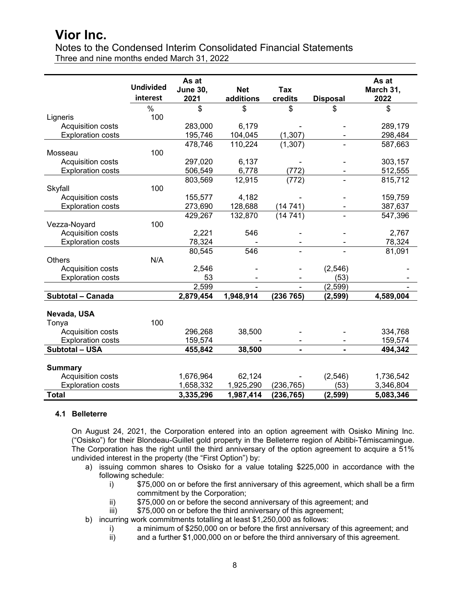Notes to the Condensed Interim Consolidated Financial Statements Three and nine months ended March 31, 2022

|                          |                  | As at           |            |                |                 | As at     |
|--------------------------|------------------|-----------------|------------|----------------|-----------------|-----------|
|                          | <b>Undivided</b> | <b>June 30,</b> | <b>Net</b> | Tax            |                 | March 31, |
|                          | interest         | 2021            | additions  | credits        | <b>Disposal</b> | 2022      |
|                          | $\%$             | \$              | \$         | \$             | \$              | \$        |
| Ligneris                 | 100              |                 |            |                |                 |           |
| Acquisition costs        |                  | 283,000         | 6,179      |                |                 | 289,179   |
| <b>Exploration costs</b> |                  | 195,746         | 104,045    | (1, 307)       |                 | 298,484   |
|                          |                  | 478,746         | 110,224    | (1, 307)       |                 | 587,663   |
| Mosseau                  | 100              |                 |            |                |                 |           |
| Acquisition costs        |                  | 297,020         | 6,137      |                |                 | 303,157   |
| <b>Exploration costs</b> |                  | 506,549         | 6,778      | (772)          |                 | 512,555   |
|                          |                  | 803,569         | 12,915     | (772)          |                 | 815,712   |
| Skyfall                  | 100              |                 |            |                |                 |           |
| Acquisition costs        |                  | 155,577         | 4,182      |                |                 | 159,759   |
| <b>Exploration costs</b> |                  | 273,690         | 128,688    | (14741)        |                 | 387,637   |
|                          |                  | 429,267         | 132,870    | (14 741)       |                 | 547,396   |
| Vezza-Noyard             | 100              |                 |            |                |                 |           |
| Acquisition costs        |                  | 2,221           | 546        |                |                 | 2,767     |
| <b>Exploration costs</b> |                  | 78,324          |            |                |                 | 78,324    |
|                          |                  | 80,545          | 546        |                |                 | 81,091    |
| <b>Others</b>            | N/A              |                 |            |                |                 |           |
| Acquisition costs        |                  | 2,546           |            |                | (2,546)         |           |
| <b>Exploration costs</b> |                  | 53              |            |                | (53)            |           |
|                          |                  | 2,599           |            |                | (2, 599)        |           |
| Subtotal - Canada        |                  | 2,879,454       | 1,948,914  | (236 765)      | (2, 599)        | 4,589,004 |
|                          |                  |                 |            |                |                 |           |
| Nevada, USA              |                  |                 |            |                |                 |           |
| Tonya                    | 100              |                 |            |                |                 |           |
| Acquisition costs        |                  | 296,268         | 38,500     |                |                 | 334,768   |
| <b>Exploration costs</b> |                  | 159,574         |            |                |                 | 159,574   |
| Subtotal - USA           |                  | 455,842         | 38,500     | $\blacksquare$ | Ξ.              | 494,342   |
| <b>Summary</b>           |                  |                 |            |                |                 |           |
| Acquisition costs        |                  | 1,676,964       | 62,124     |                | (2,546)         | 1,736,542 |
| <b>Exploration costs</b> |                  | 1,658,332       | 1,925,290  | (236, 765)     | (53)            | 3,346,804 |
| <b>Total</b>             |                  | 3,335,296       | 1,987,414  | (236, 765)     | (2, 599)        | 5,083,346 |

#### **4.1 Belleterre**

On August 24, 2021, the Corporation entered into an option agreement with Osisko Mining Inc. ("Osisko") for their Blondeau-Guillet gold property in the Belleterre region of Abitibi-Témiscamingue. The Corporation has the right until the third anniversary of the option agreement to acquire a 51% undivided interest in the property (the "First Option") by:

- a) issuing common shares to Osisko for a value totaling \$225,000 in accordance with the following schedule:<br>i) \$75,000
	- \$75,000 on or before the first anniversary of this agreement, which shall be a firm commitment by the Corporation;
	- ii) \$75,000 on or before the second anniversary of this agreement; and<br>iii) \$75,000 on or before the third anniversary of this agreement;
	- \$75,000 on or before the third anniversary of this agreement;
- b) incurring work commitments totalling at least \$1,250,000 as follows:
	- i) a minimum of \$250,000 on or before the first anniversary of this agreement; and<br>ii) and a further \$1,000,000 on or before the third anniversary of this agreement.
		- and a further \$1,000,000 on or before the third anniversary of this agreement.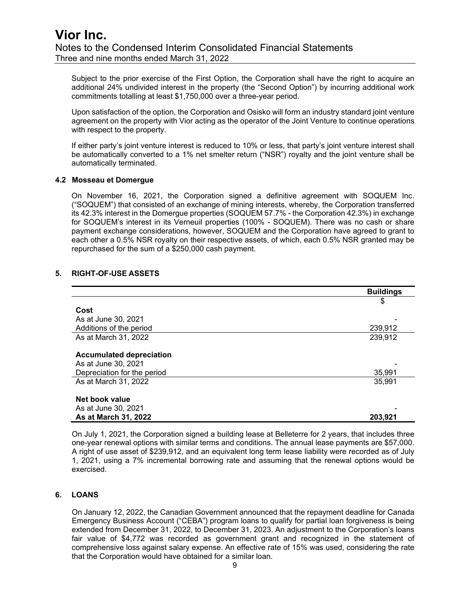Subject to the prior exercise of the First Option, the Corporation shall have the right to acquire an additional 24% undivided interest in the property (the "Second Option") by incurring additional work commitments totalling at least \$1,750,000 over a three-year period.

Upon satisfaction of the option, the Corporation and Osisko will form an industry standard joint venture agreement on the property with Vior acting as the operator of the Joint Venture to continue operations with respect to the property.

If either party's joint venture interest is reduced to 10% or less, that party's joint venture interest shall be automatically converted to a 1% net smelter return ("NSR") royalty and the joint venture shall be automatically terminated.

#### **4.2 Mosseau et Domergue**

On November 16, 2021, the Corporation signed a definitive agreement with SOQUEM Inc. ("SOQUEM") that consisted of an exchange of mining interests, whereby, the Corporation transferred its 42.3% interest in the Domergue properties (SOQUEM 57.7% - the Corporation 42.3%) in exchange for SOQUEM's interest in its Verneuil properties (100% - SOQUEM). There was no cash or share payment exchange considerations, however, SOQUEM and the Corporation have agreed to grant to each other a 0.5% NSR royalty on their respective assets, of which, each 0.5% NSR granted may be repurchased for the sum of a \$250,000 cash payment.

#### **5. RIGHT-OF-USE ASSETS**

|                                 | <b>Buildings</b> |
|---------------------------------|------------------|
|                                 | \$               |
| Cost                            |                  |
| As at June 30, 2021             |                  |
| Additions of the period         | 239,912          |
| As at March 31, 2022            | 239,912          |
|                                 |                  |
| <b>Accumulated depreciation</b> |                  |
| As at June 30, 2021             |                  |
| Depreciation for the period     | 35,991           |
| As at March 31, 2022            | 35,991           |
|                                 |                  |
| Net book value                  |                  |
| As at June 30, 2021             |                  |
| As at March 31, 2022            | 203,921          |

On July 1, 2021, the Corporation signed a building lease at Belleterre for 2 years, that includes three one-year renewal options with similar terms and conditions. The annual lease payments are \$57,000. A right of use asset of \$239,912, and an equivalent long term lease liability were recorded as of July 1, 2021, using a 7% incremental borrowing rate and assuming that the renewal options would be exercised.

#### **6. LOANS**

On January 12, 2022, the Canadian Government announced that the repayment deadline for Canada Emergency Business Account ("CEBA") program loans to qualify for partial loan forgiveness is being extended from December 31, 2022, to December 31, 2023. An adjustment to the Corporation's loans fair value of \$4,772 was recorded as government grant and recognized in the statement of comprehensive loss against salary expense. An effective rate of 15% was used, considering the rate that the Corporation would have obtained for a similar loan.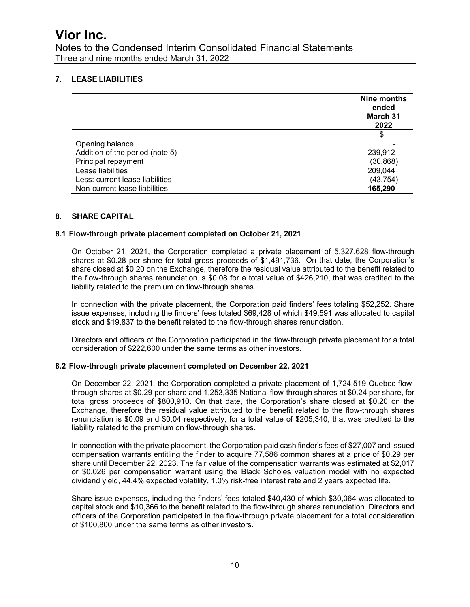Notes to the Condensed Interim Consolidated Financial Statements Three and nine months ended March 31, 2022

### **7. LEASE LIABILITIES**

|                                 | Nine months<br>ended<br>March 31<br>2022 |
|---------------------------------|------------------------------------------|
|                                 | \$                                       |
| Opening balance                 |                                          |
| Addition of the period (note 5) | 239,912                                  |
| Principal repayment             | (30, 868)                                |
| Lease liabilities               | 209,044                                  |
| Less: current lease liabilities | (43, 754)                                |
| Non-current lease liabilities   | 165,290                                  |

#### **8. SHARE CAPITAL**

#### **8.1 Flow-through private placement completed on October 21, 2021**

On October 21, 2021, the Corporation completed a private placement of 5,327,628 flow-through shares at \$0.28 per share for total gross proceeds of \$1,491,736. On that date, the Corporation's share closed at \$0.20 on the Exchange, therefore the residual value attributed to the benefit related to the flow-through shares renunciation is \$0.08 for a total value of \$426,210, that was credited to the liability related to the premium on flow-through shares.

In connection with the private placement, the Corporation paid finders' fees totaling \$52,252. Share issue expenses, including the finders' fees totaled \$69,428 of which \$49,591 was allocated to capital stock and \$19,837 to the benefit related to the flow-through shares renunciation.

Directors and officers of the Corporation participated in the flow-through private placement for a total consideration of \$222,600 under the same terms as other investors.

#### **8.2 Flow-through private placement completed on December 22, 2021**

On December 22, 2021, the Corporation completed a private placement of 1,724,519 Quebec flowthrough shares at \$0.29 per share and 1,253,335 National flow-through shares at \$0.24 per share, for total gross proceeds of \$800,910. On that date, the Corporation's share closed at \$0.20 on the Exchange, therefore the residual value attributed to the benefit related to the flow-through shares renunciation is \$0.09 and \$0.04 respectively, for a total value of \$205,340, that was credited to the liability related to the premium on flow-through shares.

In connection with the private placement, the Corporation paid cash finder's fees of \$27,007 and issued compensation warrants entitling the finder to acquire 77,586 common shares at a price of \$0.29 per share until December 22, 2023. The fair value of the compensation warrants was estimated at \$2,017 or \$0.026 per compensation warrant using the Black Scholes valuation model with no expected dividend yield, 44.4% expected volatility, 1.0% risk-free interest rate and 2 years expected life.

Share issue expenses, including the finders' fees totaled \$40,430 of which \$30,064 was allocated to capital stock and \$10,366 to the benefit related to the flow-through shares renunciation. Directors and officers of the Corporation participated in the flow-through private placement for a total consideration of \$100,800 under the same terms as other investors.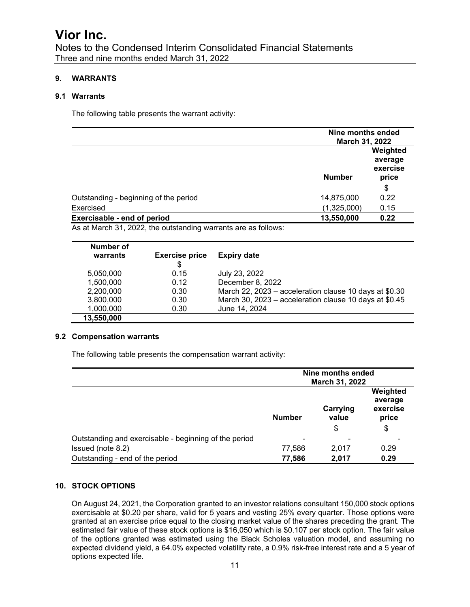Notes to the Condensed Interim Consolidated Financial Statements Three and nine months ended March 31, 2022

### **9. WARRANTS**

#### **9.1 Warrants**

The following table presents the warrant activity:

|                                       | Nine months ended<br><b>March 31, 2022</b> |                                          |
|---------------------------------------|--------------------------------------------|------------------------------------------|
|                                       | <b>Number</b>                              | Weighted<br>average<br>exercise<br>price |
|                                       |                                            | \$                                       |
| Outstanding - beginning of the period | 14,875,000                                 | 0.22                                     |
| Exercised                             | (1,325,000)                                | 0.15                                     |
| Exercisable - end of period           | 13,550,000                                 | 0.22                                     |

As at March 31, 2022, the outstanding warrants are as follows:

| Number of  |                       |                                                        |
|------------|-----------------------|--------------------------------------------------------|
| warrants   | <b>Exercise price</b> | <b>Expiry date</b>                                     |
|            | \$                    |                                                        |
| 5,050,000  | 0.15                  | July 23, 2022                                          |
| 1,500,000  | 0.12                  | December 8, 2022                                       |
| 2,200,000  | 0.30                  | March 22, 2023 – acceleration clause 10 days at \$0.30 |
| 3,800,000  | 0.30                  | March 30, 2023 - acceleration clause 10 days at \$0.45 |
| 1,000,000  | 0.30                  | June 14, 2024                                          |
| 13,550,000 |                       |                                                        |

#### **9.2 Compensation warrants**

The following table presents the compensation warrant activity:

|                                                       | Nine months ended<br>March 31, 2022 |                         |                                                |
|-------------------------------------------------------|-------------------------------------|-------------------------|------------------------------------------------|
|                                                       | <b>Number</b>                       | Carrying<br>value<br>\$ | Weighted<br>average<br>exercise<br>price<br>\$ |
| Outstanding and exercisable - beginning of the period | ٠                                   | ۰                       |                                                |
| Issued (note 8.2)                                     | 77,586                              | 2,017                   | 0.29                                           |
| Outstanding - end of the period                       | 77,586                              | 2,017                   | 0.29                                           |

### **10. STOCK OPTIONS**

On August 24, 2021, the Corporation granted to an investor relations consultant 150,000 stock options exercisable at \$0.20 per share, valid for 5 years and vesting 25% every quarter. Those options were granted at an exercise price equal to the closing market value of the shares preceding the grant. The estimated fair value of these stock options is \$16,050 which is \$0.107 per stock option. The fair value of the options granted was estimated using the Black Scholes valuation model, and assuming no expected dividend yield, a 64.0% expected volatility rate, a 0.9% risk-free interest rate and a 5 year of options expected life.